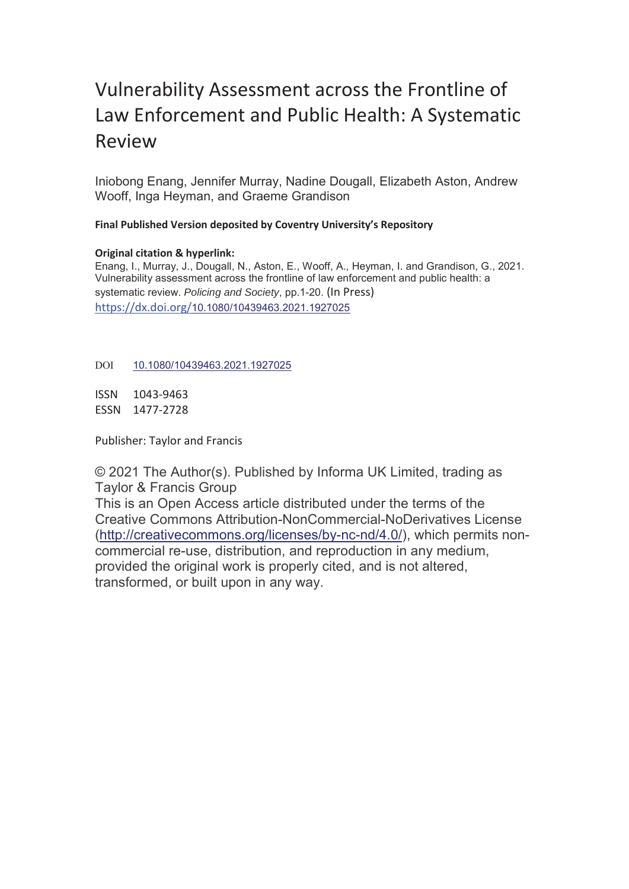# Vulnerability Assessment across the Frontline of Law Enforcement and Public Health: A Systematic Review

Iniobong Enang, Jennifer Murray, Nadine Dougall, Elizabeth Aston, Andrew Wooff, Inga Heyman, and Graeme Grandison

**Final Published Version deposited by Coventry University's Repository** 

# **Original citation & hyperlink:**

Enang, I., Murray, J., Dougall, N., Aston, E., Wooff, A., Heyman, I. and Grandison, G., 2021. Vulnerability assessment across the frontline of law enforcement and public health: a systematic review. *Policing and Society*, pp.1-20. (In Press) https://dx.doi.org/10.1080/10439463.2021.1927025

DOI 10.1080/10439463.2021.1927025

ISSN 1043-9463 ESSN 1477-2728

Publisher: Taylor and Francis

© 2021 The Author(s). Published by Informa UK Limited, trading as Taylor & Francis Group

This is an Open Access article distributed under the terms of the Creative Commons Attribution-NonCommercial-NoDerivatives License (http://creativecommons.org/licenses/by-nc-nd/4.0/), which permits noncommercial re-use, distribution, and reproduction in any medium, provided the original work is properly cited, and is not altered, transformed, or built upon in any way.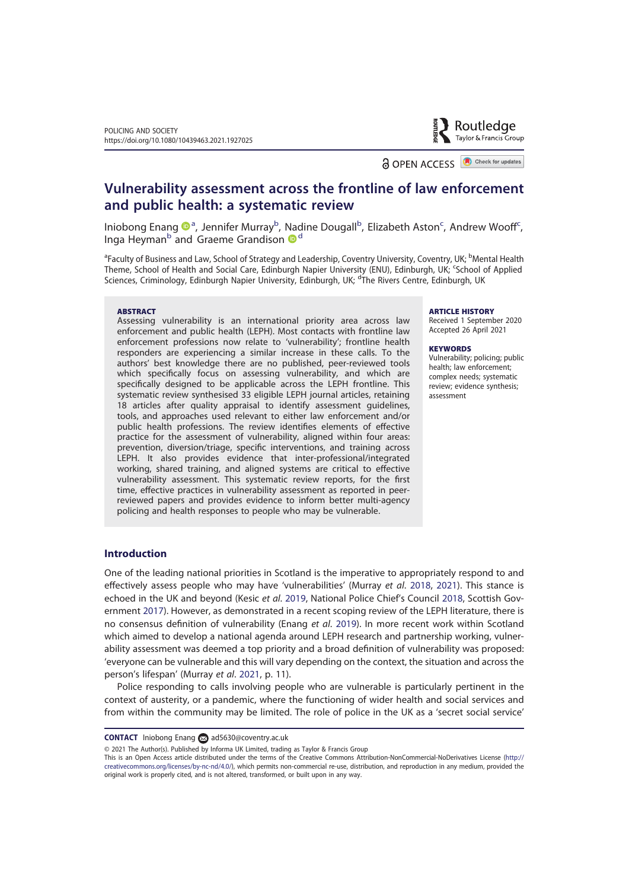Routledge Taylor & Francis Group

a OPEN ACCESS **B** Check for updates

# Vulnerability assessment across the frontline of law enforcement and public health: a systematic review

Iniobong Enang <sup>na</sup>, Jennifer Murray<sup>b</sup>, Nadine Dougall<sup>b</sup>, Elizabeth Aston<sup>c</sup>, Andrew Wooff<sup>c</sup>, Inga Heyman<sup>b</sup> and Graeme Grandison <sup>o d</sup>

<sup>a</sup>Faculty of Business and Law, School of Strategy and Leadership, Coventry University, Coventry, UK; <sup>b</sup>Mental Health Theme, School of Health and Social Care, Edinburgh Napier University (ENU), Edinburgh, UK; School of Applied Sciences, Criminology, Edinburgh Napier University, Edinburgh, UK; <sup>d'</sup>The Rivers Centre, Edinburgh, UK

#### **ARSTRACT**

Assessing vulnerability is an international priority area across law enforcement and public health (LEPH). Most contacts with frontline law enforcement professions now relate to 'vulnerability'; frontline health responders are experiencing a similar increase in these calls. To the authors' best knowledge there are no published, peer-reviewed tools which specifically focus on assessing vulnerability, and which are specifically designed to be applicable across the LEPH frontline. This systematic review synthesised 33 eligible LEPH journal articles, retaining 18 articles after quality appraisal to identify assessment guidelines, tools, and approaches used relevant to either law enforcement and/or public health professions. The review identifies elements of effective practice for the assessment of vulnerability, aligned within four areas: prevention, diversion/triage, specific interventions, and training across LEPH. It also provides evidence that inter-professional/integrated working, shared training, and aligned systems are critical to effective vulnerability assessment. This systematic review reports, for the first time, effective practices in vulnerability assessment as reported in peerreviewed papers and provides evidence to inform better multi-agency policing and health responses to people who may be vulnerable.

#### **ARTICLE HISTORY**

Received 1 September 2020 Accepted 26 April 2021

#### **KEYWORDS**

Vulnerability; policing; public health; law enforcement; complex needs; systematic review; evidence synthesis; assessment

# Introduction

One of the leading national priorities in Scotland is the imperative to appropriately respond to and effectively assess people who may have 'vulnerabilities' (Murray et al. 2018, 2021). This stance is echoed in the UK and beyond (Kesic et al. 2019, National Police Chief's Council 2018, Scottish Government 2017). However, as demonstrated in a recent scoping review of the LEPH literature, there is no consensus definition of vulnerability (Enang et al. 2019). In more recent work within Scotland which aimed to develop a national agenda around LEPH research and partnership working, vulnerability assessment was deemed a top priority and a broad definition of vulnerability was proposed: 'everyone can be vulnerable and this will vary depending on the context, the situation and across the person's lifespan' (Murray et al. 2021, p. 11).

Police responding to calls involving people who are vulnerable is particularly pertinent in the context of austerity, or a pandemic, where the functioning of wider health and social services and from within the community may be limited. The role of police in the UK as a 'secret social service'

CONTACT Iniobong Enang **a**d5630@coventry.ac.uk

© 2021 The Author(s). Published by Informa UK Limited, trading as Taylor & Francis Group

This is an Open Access article distributed under the terms of the Creative Commons Attribution-NonCommercial-NoDerivatives License (http:// creativecommons.org/licenses/by-nc-nd/4.0/), which permits non-commercial re-use, distribution, and reproduction in any medium, provided the original work is properly cited, and is not altered, transformed, or built upon in any way.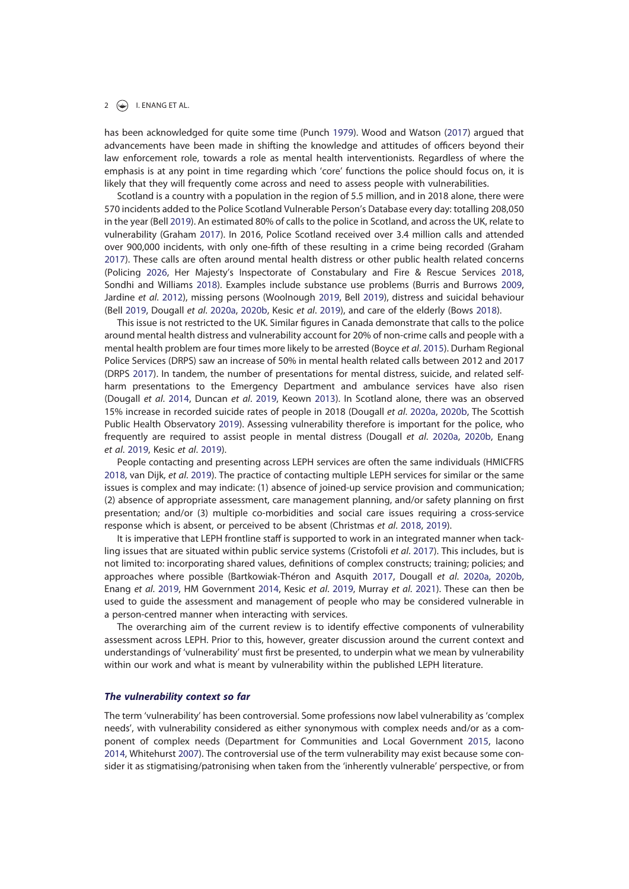has been acknowledged for quite some time (Punch 1979). Wood and Watson (2017) argued that advancements have been made in shifting the knowledge and attitudes of officers beyond their law enforcement role, towards a role as mental health interventionists. Regardless of where the emphasis is at any point in time regarding which 'core' functions the police should focus on, it is likely that they will frequently come across and need to assess people with vulnerabilities.

Scotland is a country with a population in the region of 5.5 million, and in 2018 alone, there were 570 incidents added to the Police Scotland Vulnerable Person's Database every day: totalling 208,050 in the year (Bell 2019). An estimated 80% of calls to the police in Scotland, and across the UK, relate to vulnerability (Graham 2017). In 2016, Police Scotland received over 3.4 million calls and attended over 900,000 incidents, with only one-fifth of these resulting in a crime being recorded (Graham 2017). These calls are often around mental health distress or other public health related concerns (Policing 2026, Her Majesty's Inspectorate of Constabulary and Fire & Rescue Services 2018, Sondhi and Williams 2018). Examples include substance use problems (Burris and Burrows 2009, Jardine et al. 2012), missing persons (Woolnough 2019, Bell 2019), distress and suicidal behaviour (Bell 2019, Dougall et al. 2020a, 2020b, Kesic et al. 2019), and care of the elderly (Bows 2018).

This issue is not restricted to the UK. Similar figures in Canada demonstrate that calls to the police around mental health distress and vulnerability account for 20% of non-crime calls and people with a mental health problem are four times more likely to be arrested (Boyce et al. 2015). Durham Regional Police Services (DRPS) saw an increase of 50% in mental health related calls between 2012 and 2017 (DRPS 2017). In tandem, the number of presentations for mental distress, suicide, and related selfharm presentations to the Emergency Department and ambulance services have also risen (Dougall et al. 2014, Duncan et al. 2019, Keown 2013). In Scotland alone, there was an observed 15% increase in recorded suicide rates of people in 2018 (Dougall et al. 2020a, 2020b, The Scottish Public Health Observatory 2019). Assessing vulnerability therefore is important for the police, who frequently are required to assist people in mental distress (Dougall et al. 2020a, 2020b, Enang et al. 2019, Kesic et al. 2019).

People contacting and presenting across LEPH services are often the same individuals (HMICFRS 2018, van Dijk, et al. 2019). The practice of contacting multiple LEPH services for similar or the same issues is complex and may indicate: (1) absence of joined-up service provision and communication; (2) absence of appropriate assessment, care management planning, and/or safety planning on first presentation; and/or (3) multiple co-morbidities and social care issues requiring a cross-service response which is absent, or perceived to be absent (Christmas et al. 2018, 2019).

It is imperative that LEPH frontline staff is supported to work in an integrated manner when tackling issues that are situated within public service systems (Cristofoli et al. 2017). This includes, but is not limited to: incorporating shared values, definitions of complex constructs; training; policies; and approaches where possible (Bartkowiak-Théron and Asquith 2017, Dougall et al. 2020a, 2020b, Enang et al. 2019, HM Government 2014, Kesic et al. 2019, Murray et al. 2021). These can then be used to guide the assessment and management of people who may be considered vulnerable in a person-centred manner when interacting with services.

The overarching aim of the current review is to identify effective components of vulnerability assessment across LEPH. Prior to this, however, greater discussion around the current context and understandings of 'vulnerability' must first be presented, to underpin what we mean by vulnerability within our work and what is meant by vulnerability within the published LEPH literature.

#### The vulnerability context so far

The term 'vulnerability' has been controversial. Some professions now label vulnerability as 'complex needs', with vulnerability considered as either synonymous with complex needs and/or as a component of complex needs (Department for Communities and Local Government 2015, Iacono 2014, Whitehurst 2007). The controversial use of the term vulnerability may exist because some consider it as stigmatising/patronising when taken from the 'inherently vulnerable' perspective, or from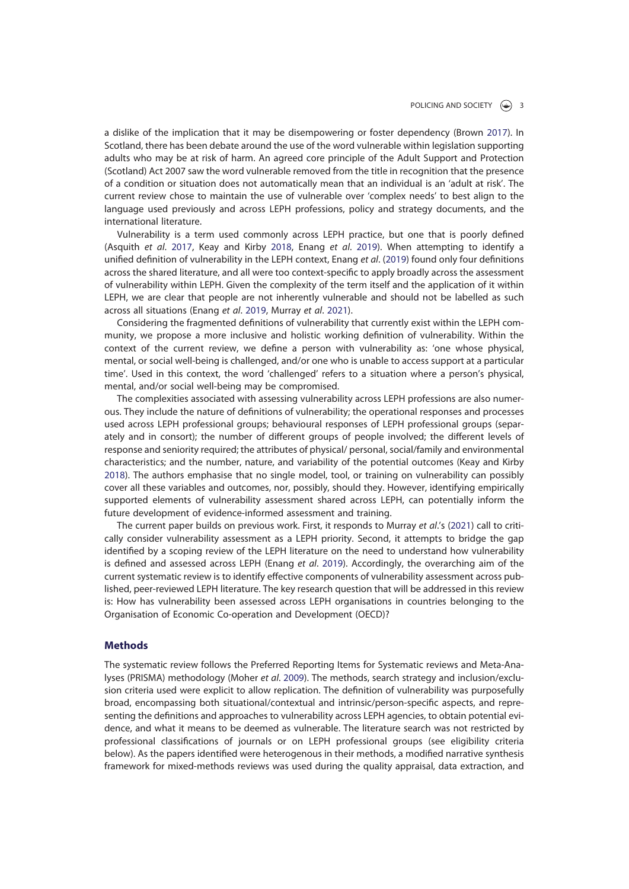a dislike of the implication that it may be disempowering or foster dependency (Brown 2017). In Scotland, there has been debate around the use of the word vulnerable within legislation supporting adults who may be at risk of harm. An agreed core principle of the Adult Support and Protection (Scotland) Act 2007 saw the word vulnerable removed from the title in recognition that the presence of a condition or situation does not automatically mean that an individual is an 'adult at risk'. The current review chose to maintain the use of vulnerable over 'complex needs' to best align to the language used previously and across LEPH professions, policy and strategy documents, and the international literature.

Vulnerability is a term used commonly across LEPH practice, but one that is poorly defined (Asquith et al. 2017, Keay and Kirby 2018, Enang et al. 2019). When attempting to identify a unified definition of vulnerability in the LEPH context, Enang et al. (2019) found only four definitions across the shared literature, and all were too context-specific to apply broadly across the assessment of vulnerability within LEPH. Given the complexity of the term itself and the application of it within LEPH, we are clear that people are not inherently vulnerable and should not be labelled as such across all situations (Enang et al. 2019, Murray et al. 2021).

Considering the fragmented definitions of vulnerability that currently exist within the LEPH community, we propose a more inclusive and holistic working definition of vulnerability. Within the context of the current review, we define a person with vulnerability as: 'one whose physical, mental, or social well-being is challenged, and/or one who is unable to access support at a particular time'. Used in this context, the word 'challenged' refers to a situation where a person's physical, mental, and/or social well-being may be compromised.

The complexities associated with assessing vulnerability across LEPH professions are also numerous. They include the nature of definitions of vulnerability; the operational responses and processes used across LEPH professional groups; behavioural responses of LEPH professional groups (separately and in consort); the number of different groups of people involved; the different levels of response and seniority required; the attributes of physical/ personal, social/family and environmental characteristics; and the number, nature, and variability of the potential outcomes (Keay and Kirby 2018). The authors emphasise that no single model, tool, or training on vulnerability can possibly cover all these variables and outcomes, nor, possibly, should they. However, identifying empirically supported elements of vulnerability assessment shared across LEPH, can potentially inform the future development of evidence-informed assessment and training.

The current paper builds on previous work. First, it responds to Murray et al.'s (2021) call to critically consider vulnerability assessment as a LEPH priority. Second, it attempts to bridge the gap identified by a scoping review of the LEPH literature on the need to understand how vulnerability is defined and assessed across LEPH (Enang et al. 2019). Accordingly, the overarching aim of the current systematic review is to identify effective components of vulnerability assessment across published, peer-reviewed LEPH literature. The key research question that will be addressed in this review is: How has vulnerability been assessed across LEPH organisations in countries belonging to the Organisation of Economic Co-operation and Development (OECD)?

#### **Methods**

The systematic review follows the Preferred Reporting Items for Systematic reviews and Meta-Analyses (PRISMA) methodology (Moher et al. 2009). The methods, search strategy and inclusion/exclusion criteria used were explicit to allow replication. The definition of vulnerability was purposefully broad, encompassing both situational/contextual and intrinsic/person-specific aspects, and representing the definitions and approaches to vulnerability across LEPH agencies, to obtain potential evidence, and what it means to be deemed as vulnerable. The literature search was not restricted by professional classifications of journals or on LEPH professional groups (see eligibility criteria below). As the papers identified were heterogenous in their methods, a modified narrative synthesis framework for mixed-methods reviews was used during the quality appraisal, data extraction, and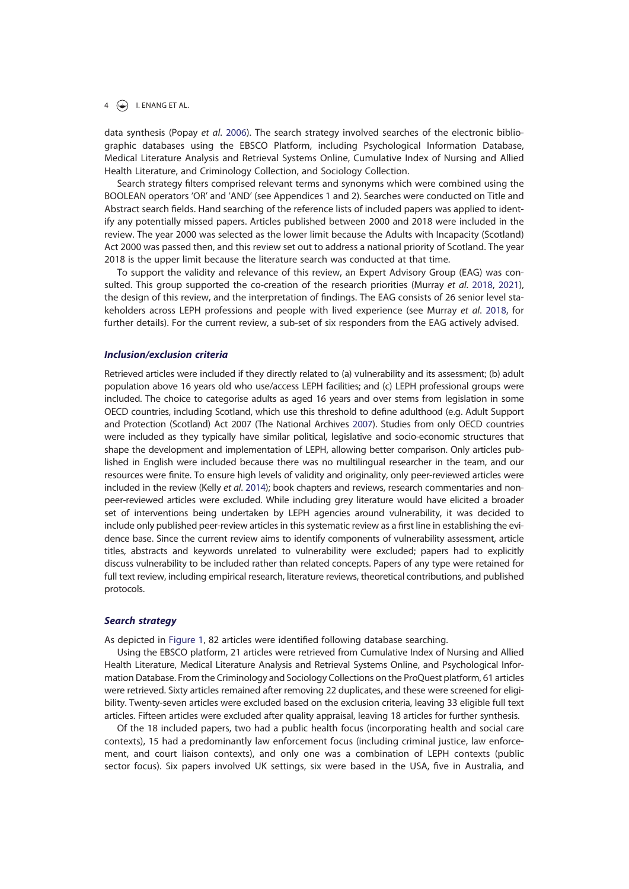#### $4 \quad \Leftrightarrow$  I. ENANG ET AL.

data synthesis (Popay et al. 2006). The search strategy involved searches of the electronic bibliographic databases using the EBSCO Platform, including Psychological Information Database, Medical Literature Analysis and Retrieval Systems Online, Cumulative Index of Nursing and Allied Health Literature, and Criminology Collection, and Sociology Collection.

Search strategy filters comprised relevant terms and synonyms which were combined using the BOOLEAN operators 'OR' and 'AND' (see Appendices 1 and 2). Searches were conducted on Title and Abstract search fields. Hand searching of the reference lists of included papers was applied to identify any potentially missed papers. Articles published between 2000 and 2018 were included in the review. The year 2000 was selected as the lower limit because the Adults with Incapacity (Scotland) Act 2000 was passed then, and this review set out to address a national priority of Scotland. The year 2018 is the upper limit because the literature search was conducted at that time.

To support the validity and relevance of this review, an Expert Advisory Group (EAG) was consulted. This group supported the co-creation of the research priorities (Murray et al. 2018, 2021), the design of this review, and the interpretation of findings. The EAG consists of 26 senior level stakeholders across LEPH professions and people with lived experience (see Murray et al. 2018, for further details). For the current review, a sub-set of six responders from the EAG actively advised.

#### Inclusion/exclusion criteria

Retrieved articles were included if they directly related to (a) vulnerability and its assessment; (b) adult population above 16 years old who use/access LEPH facilities; and (c) LEPH professional groups were included. The choice to categorise adults as aged 16 years and over stems from legislation in some OECD countries, including Scotland, which use this threshold to define adulthood (e.g. Adult Support and Protection (Scotland) Act 2007 (The National Archives 2007). Studies from only OECD countries were included as they typically have similar political, legislative and socio-economic structures that shape the development and implementation of LEPH, allowing better comparison. Only articles published in English were included because there was no multilingual researcher in the team, and our resources were finite. To ensure high levels of validity and originality, only peer-reviewed articles were included in the review (Kelly et al. 2014); book chapters and reviews, research commentaries and nonpeer-reviewed articles were excluded. While including grey literature would have elicited a broader set of interventions being undertaken by LEPH agencies around vulnerability, it was decided to include only published peer-review articles in this systematic review as a first line in establishing the evidence base. Since the current review aims to identify components of vulnerability assessment, article titles, abstracts and keywords unrelated to vulnerability were excluded; papers had to explicitly discuss vulnerability to be included rather than related concepts. Papers of any type were retained for full text review, including empirical research, literature reviews, theoretical contributions, and published protocols.

#### Search strategy

As depicted in Figure 1, 82 articles were identified following database searching.

Using the EBSCO platform, 21 articles were retrieved from Cumulative Index of Nursing and Allied Health Literature, Medical Literature Analysis and Retrieval Systems Online, and Psychological Information Database. From the Criminology and Sociology Collections on the ProQuest platform, 61 articles were retrieved. Sixty articles remained after removing 22 duplicates, and these were screened for eligibility. Twenty-seven articles were excluded based on the exclusion criteria, leaving 33 eligible full text articles. Fifteen articles were excluded after quality appraisal, leaving 18 articles for further synthesis.

Of the 18 included papers, two had a public health focus (incorporating health and social care contexts), 15 had a predominantly law enforcement focus (including criminal justice, law enforcement, and court liaison contexts), and only one was a combination of LEPH contexts (public sector focus). Six papers involved UK settings, six were based in the USA, five in Australia, and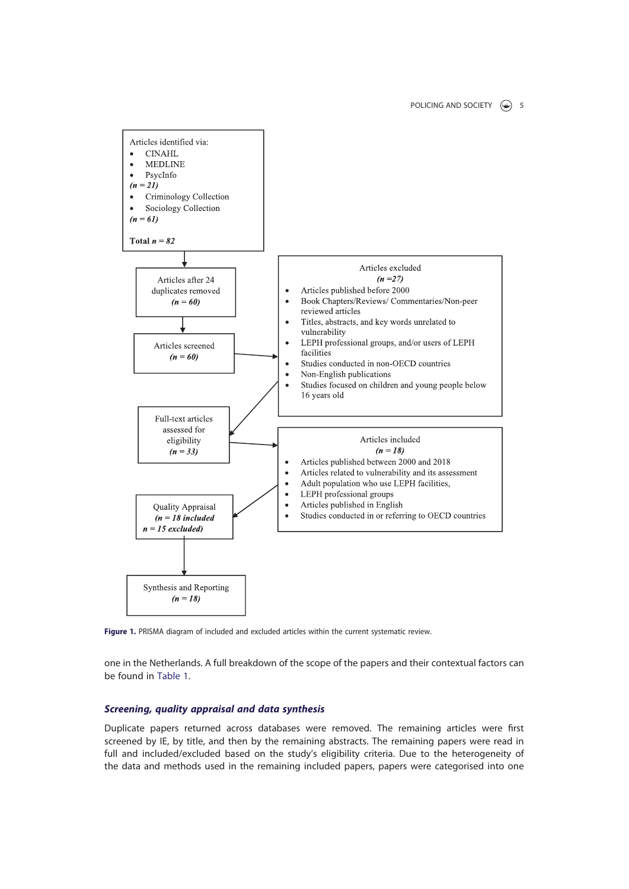

Figure 1. PRISMA diagram of included and excluded articles within the current systematic review.

one in the Netherlands. A full breakdown of the scope of the papers and their contextual factors can be found in Table 1.

# Screening, quality appraisal and data synthesis

Duplicate papers returned across databases were removed. The remaining articles were first screened by IE, by title, and then by the remaining abstracts. The remaining papers were read in full and included/excluded based on the study's eligibility criteria. Due to the heterogeneity of the data and methods used in the remaining included papers, papers were categorised into one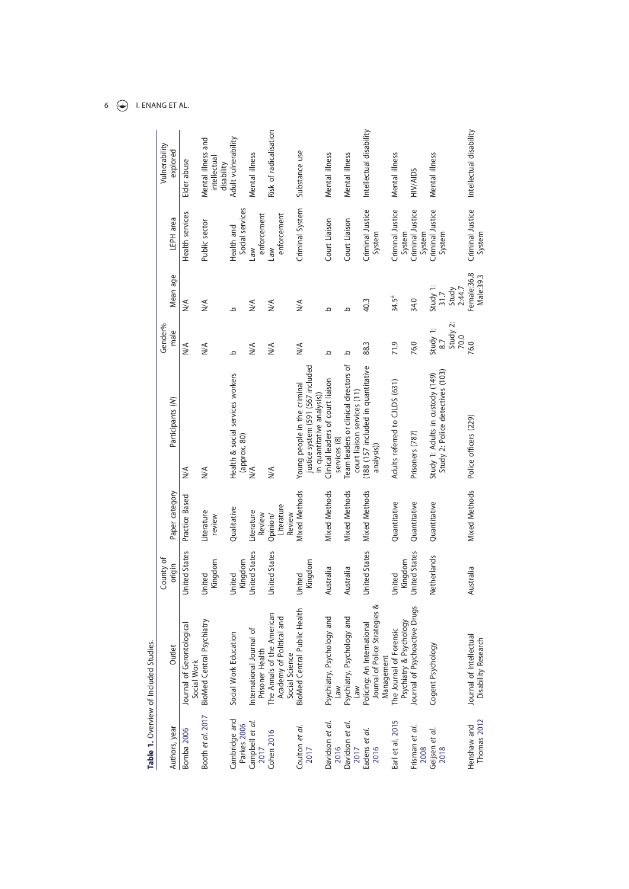# 6  $\bigodot$  I. ENANG ET AL.

|                              | Table 1. Overview of Included Studies.                                     |                      |                                  |                                                                                                 |                             |                                     |                               |                                                  |
|------------------------------|----------------------------------------------------------------------------|----------------------|----------------------------------|-------------------------------------------------------------------------------------------------|-----------------------------|-------------------------------------|-------------------------------|--------------------------------------------------|
|                              |                                                                            | County of            |                                  |                                                                                                 | Gender%                     |                                     |                               | Vulnerability                                    |
| Authors, year                | Outlet                                                                     | origin               | Paper category                   | Participants (N)                                                                                | male                        | Mean age                            | LEPH area                     | explored                                         |
| Bomba 2006                   | Journal of Gerontological<br>Social Work                                   | <b>United States</b> | Practice Based                   | $\leq$                                                                                          | $\frac{1}{2}$               | $\frac{1}{2}$                       | Health services               | Elder abuse                                      |
| Booth et al. 2017            | <b>BioMed Central Psychiatry</b>                                           | Kingdom<br>United    | Literature<br>review             | $\leq$                                                                                          | $\frac{1}{2}$               | $\frac{1}{2}$                       | Public sector                 | Mental illness and<br>intellectual<br>disability |
| Cambridge and<br>Parkes 2006 | Social Work Education                                                      | Kingdom<br>United    | Qualitative                      | Health & social services workers<br>(approx. 80)                                                | ٩                           | ٩                                   | Social services<br>Health and | Adult vulnerability                              |
| Campbell et al.<br>2017      | International Journal of<br>Prisoner Health                                | United States        | Literature<br>Review             | $\frac{1}{2}$                                                                                   | $\frac{1}{2}$               | N/A                                 | enforcement<br>Law            | Mental illness                                   |
| <b>Cohen 2016</b>            | The Annals of the American<br>Academy of Political and<br>Social Science   | <b>United States</b> | Literature<br>Review<br>Opinion/ | $\leq$                                                                                          | N/A                         | N/A                                 | enforcement<br>Law            | Risk of radicalisation                           |
| Coulton et al.<br>2017       | BioMed Central Public Health                                               | Kingdom<br>United    | <b>Mixed Methods</b>             | justice system (591 (567 included<br>Young people in the criminal<br>in quantitative analysis)) | $\leq$                      | N/A                                 | Criminal System               | Substance use                                    |
| Davidson et al.<br>2016      | Psychiatry, Psychology and<br>Law                                          | Australia            | <b>Mixed Methods</b>             | Clinical leaders of court liaison<br>services (8)                                               | ٩                           | ع                                   | Court Liaison                 | Mental illness                                   |
| Davidson et al.<br>2017      | Psychiatry, Psychology and                                                 | Australia            | <b>Mixed Methods</b>             | Team leaders or clinical directors of<br>court liaison services (11)                            | ٩                           | ٩                                   | Court Liaison                 | Mental illness                                   |
| Eadens et al.<br>2016        | Policing: An International<br>Journal of Police Strategies &<br>Management | United States        | <b>Mixed Methods</b>             | (188 (157 included in quantitative<br>analysis))                                                | 88.3                        | 40.3                                | Criminal Justice<br>System    | Intellectual disability                          |
| Earl et al. 2015             | The Journal of Forensic<br>Psychiatry & Psychology                         | Kingdom<br>United    | Quantitative                     | Adults referred to CJLDS (631)                                                                  | 71.9                        | $34.5^a$                            | Criminal Justice<br>System    | Mental illness                                   |
| Frisman et al.<br>2008       | lournal of Psychoactive Drugs                                              | United States        | Quantitative                     | Prisoners (787)                                                                                 | 76.0                        | 34.0                                | Criminal Justice<br>System    | <b>HIV/AIDS</b>                                  |
| Geijsen et al.<br>2018       | Cogent Psychology                                                          | Netherlands          | Quantitative                     | Study 2: Police detectives (103)<br>Study 1: Adults in custody (149)                            | Study 1:<br>8.7<br>Study 2: | Study 1:<br>2:44.7<br>Study<br>31.7 | Criminal Justice<br>System    | Mental illness                                   |
| Thomas 2012<br>Henshaw and   | Journal of Intellectual<br>Disability Research                             | Australia            | Mixed Methods                    | Police officers (229)                                                                           | $\frac{70.0}{76.0}$         | Female:36.8<br>Male:39.3            | Criminal Justice<br>System    | Intellectual disability                          |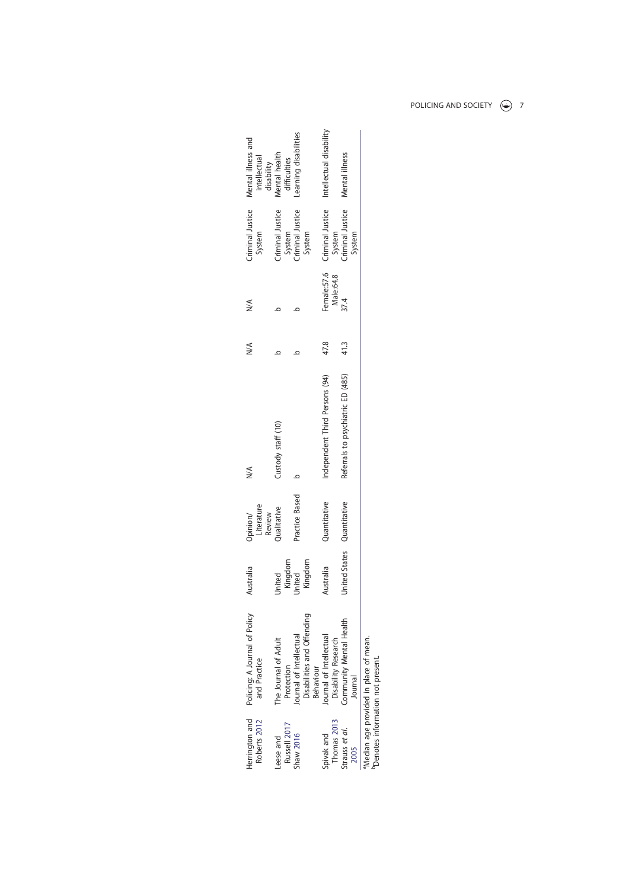| lerrington and<br>Roberts 2012 | Policing: A Journal of Policy<br>and Practice                      | Australia                    | Literature<br>Review<br>Opinion/ | ⋚                                 | ≫    | $\leq$                   | Criminal Justice<br>System                     | Mental illness and<br>intellectual          |
|--------------------------------|--------------------------------------------------------------------|------------------------------|----------------------------------|-----------------------------------|------|--------------------------|------------------------------------------------|---------------------------------------------|
| Russell 2017<br>eese and       | The Journal of Adult<br>Protection                                 | United                       | <b>Qualitative</b>               | Custody staff (10)                |      |                          | Criminal Justice<br>System<br>Criminal Justice | disability<br>Mental health<br>difficulties |
| Shaw 2016                      | Disabilities and Offending<br>Journal of Intellectual<br>Behaviour | Kingdom<br>Kingdom<br>United | Practice Based                   |                                   |      |                          | System                                         | earning disabilities                        |
| Thomas 2013<br>pivak and       | lournal of Intellectual<br>Disability Research                     | Australia                    | Quantitative                     | Independent Third Persons (94)    | 47.8 | Female:57.6<br>Male:64.8 | Criminal Justice                               | Intellectual disability                     |
| trauss et al.<br>2005          | Community Mental Health<br>Journal                                 | United States Quantitative   |                                  | Referrals to psychiatric ED (485) | 41.3 | 37.4                     | System<br>Criminal Justice<br>F<br>System      | Mental illness                              |
|                                | Median age provided in place of mean.                              |                              |                                  |                                   |      |                          |                                                |                                             |

aMedian age provided in place of mean. bDenotes information not present.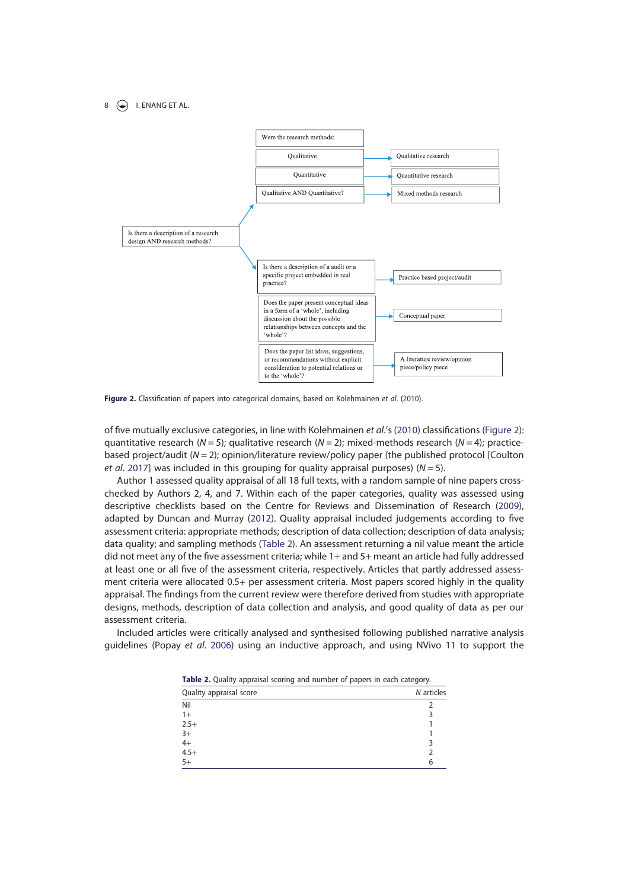$8 \quad (*)$  I. ENANG ET AL.



Figure 2. Classification of papers into categorical domains, based on Kolehmainen et al. (2010).

of five mutually exclusive categories, in line with Kolehmainen et al.'s (2010) classifications (Figure 2): quantitative research (N = 5); qualitative research (N = 2); mixed-methods research (N = 4); practicebased project/audit ( $N = 2$ ); opinion/literature review/policy paper (the published protocol [Coulton et al. 2017] was included in this grouping for quality appraisal purposes) ( $N = 5$ ).

Author 1 assessed quality appraisal of all 18 full texts, with a random sample of nine papers crosschecked by Authors 2, 4, and 7. Within each of the paper categories, quality was assessed using descriptive checklists based on the Centre for Reviews and Dissemination of Research (2009), adapted by Duncan and Murray (2012). Quality appraisal included judgements according to five assessment criteria: appropriate methods; description of data collection; description of data analysis; data quality; and sampling methods (Table 2). An assessment returning a nil value meant the article did not meet any of the five assessment criteria; while 1+ and 5+ meant an article had fully addressed at least one or all five of the assessment criteria, respectively. Articles that partly addressed assessment criteria were allocated 0.5+ per assessment criteria. Most papers scored highly in the quality appraisal. The findings from the current review were therefore derived from studies with appropriate designs, methods, description of data collection and analysis, and good quality of data as per our assessment criteria.

Included articles were critically analysed and synthesised following published narrative analysis guidelines (Popay et al. 2006) using an inductive approach, and using NVivo 11 to support the

|  |                                           | Table 2. Quality appraisal scoring and number of papers in each category. |  |  |  |  |          |  |
|--|-------------------------------------------|---------------------------------------------------------------------------|--|--|--|--|----------|--|
|  | $\sim$ $\sim$ $\sim$ $\sim$ $\sim$ $\sim$ |                                                                           |  |  |  |  | $\cdots$ |  |

| ◡                       |            |
|-------------------------|------------|
| Quality appraisal score | N articles |
| Nil                     |            |
| $1+$                    |            |
| $2.5+$                  |            |
| $3+$                    |            |
| $4+$<br>4.5+            |            |
|                         |            |
| $5+$                    | 6          |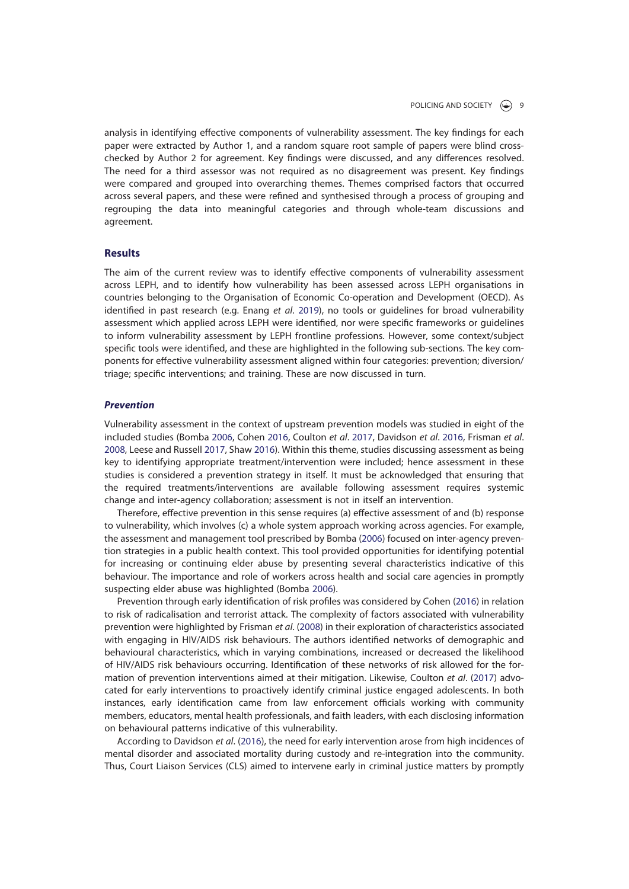analysis in identifying effective components of vulnerability assessment. The key findings for each paper were extracted by Author 1, and a random square root sample of papers were blind crosschecked by Author 2 for agreement. Key findings were discussed, and any differences resolved. The need for a third assessor was not required as no disagreement was present. Key findings were compared and grouped into overarching themes. Themes comprised factors that occurred across several papers, and these were refined and synthesised through a process of grouping and regrouping the data into meaningful categories and through whole-team discussions and agreement.

## Results

The aim of the current review was to identify effective components of vulnerability assessment across LEPH, and to identify how vulnerability has been assessed across LEPH organisations in countries belonging to the Organisation of Economic Co-operation and Development (OECD). As identified in past research (e.g. Enang et al. 2019), no tools or guidelines for broad vulnerability assessment which applied across LEPH were identified, nor were specific frameworks or guidelines to inform vulnerability assessment by LEPH frontline professions. However, some context/subject specific tools were identified, and these are highlighted in the following sub-sections. The key components for effective vulnerability assessment aligned within four categories: prevention; diversion/ triage; specific interventions; and training. These are now discussed in turn.

#### Prevention

Vulnerability assessment in the context of upstream prevention models was studied in eight of the included studies (Bomba 2006, Cohen 2016, Coulton et al. 2017, Davidson et al. 2016, Frisman et al. 2008, Leese and Russell 2017, Shaw 2016). Within this theme, studies discussing assessment as being key to identifying appropriate treatment/intervention were included; hence assessment in these studies is considered a prevention strategy in itself. It must be acknowledged that ensuring that the required treatments/interventions are available following assessment requires systemic change and inter-agency collaboration; assessment is not in itself an intervention.

Therefore, effective prevention in this sense requires (a) effective assessment of and (b) response to vulnerability, which involves (c) a whole system approach working across agencies. For example, the assessment and management tool prescribed by Bomba (2006) focused on inter-agency prevention strategies in a public health context. This tool provided opportunities for identifying potential for increasing or continuing elder abuse by presenting several characteristics indicative of this behaviour. The importance and role of workers across health and social care agencies in promptly suspecting elder abuse was highlighted (Bomba 2006).

Prevention through early identification of risk profiles was considered by Cohen (2016) in relation to risk of radicalisation and terrorist attack. The complexity of factors associated with vulnerability prevention were highlighted by Frisman et al. (2008) in their exploration of characteristics associated with engaging in HIV/AIDS risk behaviours. The authors identified networks of demographic and behavioural characteristics, which in varying combinations, increased or decreased the likelihood of HIV/AIDS risk behaviours occurring. Identification of these networks of risk allowed for the formation of prevention interventions aimed at their mitigation. Likewise, Coulton et al. (2017) advocated for early interventions to proactively identify criminal justice engaged adolescents. In both instances, early identification came from law enforcement officials working with community members, educators, mental health professionals, and faith leaders, with each disclosing information on behavioural patterns indicative of this vulnerability.

According to Davidson et al. (2016), the need for early intervention arose from high incidences of mental disorder and associated mortality during custody and re-integration into the community. Thus, Court Liaison Services (CLS) aimed to intervene early in criminal justice matters by promptly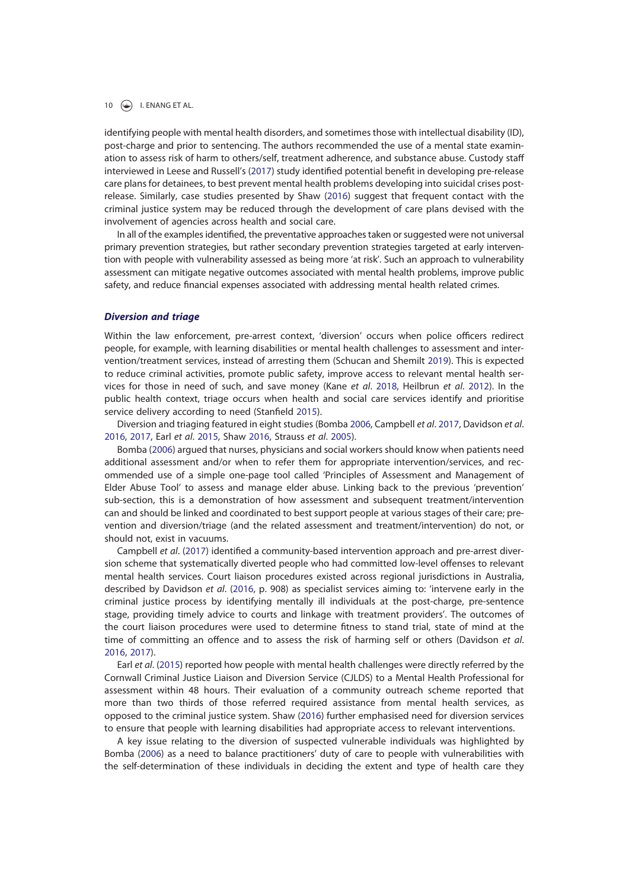identifying people with mental health disorders, and sometimes those with intellectual disability (ID), post-charge and prior to sentencing. The authors recommended the use of a mental state examination to assess risk of harm to others/self, treatment adherence, and substance abuse. Custody staff interviewed in Leese and Russell's (2017) study identified potential benefit in developing pre-release care plans for detainees, to best prevent mental health problems developing into suicidal crises postrelease. Similarly, case studies presented by Shaw (2016) suggest that frequent contact with the criminal justice system may be reduced through the development of care plans devised with the involvement of agencies across health and social care.

In all of the examples identified, the preventative approaches taken or suggested were not universal primary prevention strategies, but rather secondary prevention strategies targeted at early intervention with people with vulnerability assessed as being more 'at risk'. Such an approach to vulnerability assessment can mitigate negative outcomes associated with mental health problems, improve public safety, and reduce financial expenses associated with addressing mental health related crimes.

#### Diversion and triage

Within the law enforcement, pre-arrest context, 'diversion' occurs when police officers redirect people, for example, with learning disabilities or mental health challenges to assessment and intervention/treatment services, instead of arresting them (Schucan and Shemilt 2019). This is expected to reduce criminal activities, promote public safety, improve access to relevant mental health services for those in need of such, and save money (Kane et al. 2018, Heilbrun et al. 2012). In the public health context, triage occurs when health and social care services identify and prioritise service delivery according to need (Stanfield 2015).

Diversion and triaging featured in eight studies (Bomba 2006, Campbell et al. 2017, Davidson et al. 2016, 2017, Earl et al. 2015, Shaw 2016, Strauss et al. 2005).

Bomba (2006) argued that nurses, physicians and social workers should know when patients need additional assessment and/or when to refer them for appropriate intervention/services, and recommended use of a simple one-page tool called 'Principles of Assessment and Management of Elder Abuse Tool' to assess and manage elder abuse. Linking back to the previous 'prevention' sub-section, this is a demonstration of how assessment and subsequent treatment/intervention can and should be linked and coordinated to best support people at various stages of their care; prevention and diversion/triage (and the related assessment and treatment/intervention) do not, or should not, exist in vacuums.

Campbell et al. (2017) identified a community-based intervention approach and pre-arrest diversion scheme that systematically diverted people who had committed low-level offenses to relevant mental health services. Court liaison procedures existed across regional jurisdictions in Australia, described by Davidson et al. (2016, p. 908) as specialist services aiming to: 'intervene early in the criminal justice process by identifying mentally ill individuals at the post-charge, pre-sentence stage, providing timely advice to courts and linkage with treatment providers'. The outcomes of the court liaison procedures were used to determine fitness to stand trial, state of mind at the time of committing an offence and to assess the risk of harming self or others (Davidson et al. 2016, 2017).

Earl et al. (2015) reported how people with mental health challenges were directly referred by the Cornwall Criminal Justice Liaison and Diversion Service (CJLDS) to a Mental Health Professional for assessment within 48 hours. Their evaluation of a community outreach scheme reported that more than two thirds of those referred required assistance from mental health services, as opposed to the criminal justice system. Shaw (2016) further emphasised need for diversion services to ensure that people with learning disabilities had appropriate access to relevant interventions.

A key issue relating to the diversion of suspected vulnerable individuals was highlighted by Bomba (2006) as a need to balance practitioners' duty of care to people with vulnerabilities with the self-determination of these individuals in deciding the extent and type of health care they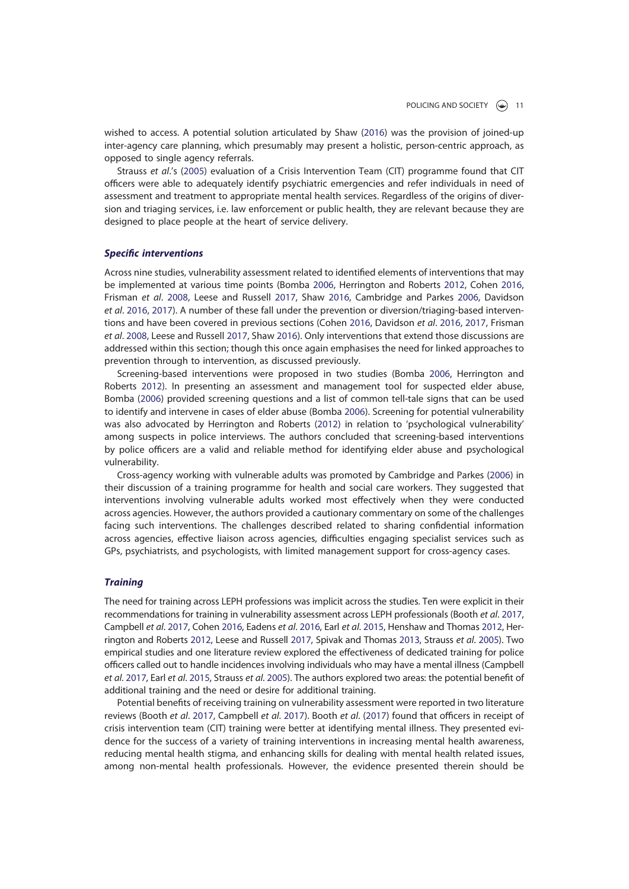wished to access. A potential solution articulated by Shaw (2016) was the provision of joined-up inter-agency care planning, which presumably may present a holistic, person-centric approach, as opposed to single agency referrals.

Strauss et al.'s (2005) evaluation of a Crisis Intervention Team (CIT) programme found that CIT officers were able to adequately identify psychiatric emergencies and refer individuals in need of assessment and treatment to appropriate mental health services. Regardless of the origins of diversion and triaging services, i.e. law enforcement or public health, they are relevant because they are designed to place people at the heart of service delivery.

# Specific interventions

Across nine studies, vulnerability assessment related to identified elements of interventions that may be implemented at various time points (Bomba 2006, Herrington and Roberts 2012, Cohen 2016, Frisman et al. 2008, Leese and Russell 2017, Shaw 2016, Cambridge and Parkes 2006, Davidson et al. 2016, 2017). A number of these fall under the prevention or diversion/triaging-based interventions and have been covered in previous sections (Cohen 2016, Davidson et al. 2016, 2017, Frisman et al. 2008, Leese and Russell 2017, Shaw 2016). Only interventions that extend those discussions are addressed within this section; though this once again emphasises the need for linked approaches to prevention through to intervention, as discussed previously.

Screening-based interventions were proposed in two studies (Bomba 2006, Herrington and Roberts 2012). In presenting an assessment and management tool for suspected elder abuse, Bomba (2006) provided screening questions and a list of common tell-tale signs that can be used to identify and intervene in cases of elder abuse (Bomba 2006). Screening for potential vulnerability was also advocated by Herrington and Roberts (2012) in relation to 'psychological vulnerability' among suspects in police interviews. The authors concluded that screening-based interventions by police officers are a valid and reliable method for identifying elder abuse and psychological vulnerability.

Cross-agency working with vulnerable adults was promoted by Cambridge and Parkes (2006) in their discussion of a training programme for health and social care workers. They suggested that interventions involving vulnerable adults worked most effectively when they were conducted across agencies. However, the authors provided a cautionary commentary on some of the challenges facing such interventions. The challenges described related to sharing confidential information across agencies, effective liaison across agencies, difficulties engaging specialist services such as GPs, psychiatrists, and psychologists, with limited management support for cross-agency cases.

#### **Training**

The need for training across LEPH professions was implicit across the studies. Ten were explicit in their recommendations for training in vulnerability assessment across LEPH professionals (Booth et al. 2017, Campbell et al. 2017, Cohen 2016, Eadens et al. 2016, Earl et al. 2015, Henshaw and Thomas 2012, Herrington and Roberts 2012, Leese and Russell 2017, Spivak and Thomas 2013, Strauss et al. 2005). Two empirical studies and one literature review explored the effectiveness of dedicated training for police officers called out to handle incidences involving individuals who may have a mental illness (Campbell et al. 2017, Earl et al. 2015, Strauss et al. 2005). The authors explored two areas: the potential benefit of additional training and the need or desire for additional training.

Potential benefits of receiving training on vulnerability assessment were reported in two literature reviews (Booth et al. 2017, Campbell et al. 2017). Booth et al. (2017) found that officers in receipt of crisis intervention team (CIT) training were better at identifying mental illness. They presented evidence for the success of a variety of training interventions in increasing mental health awareness, reducing mental health stigma, and enhancing skills for dealing with mental health related issues, among non-mental health professionals. However, the evidence presented therein should be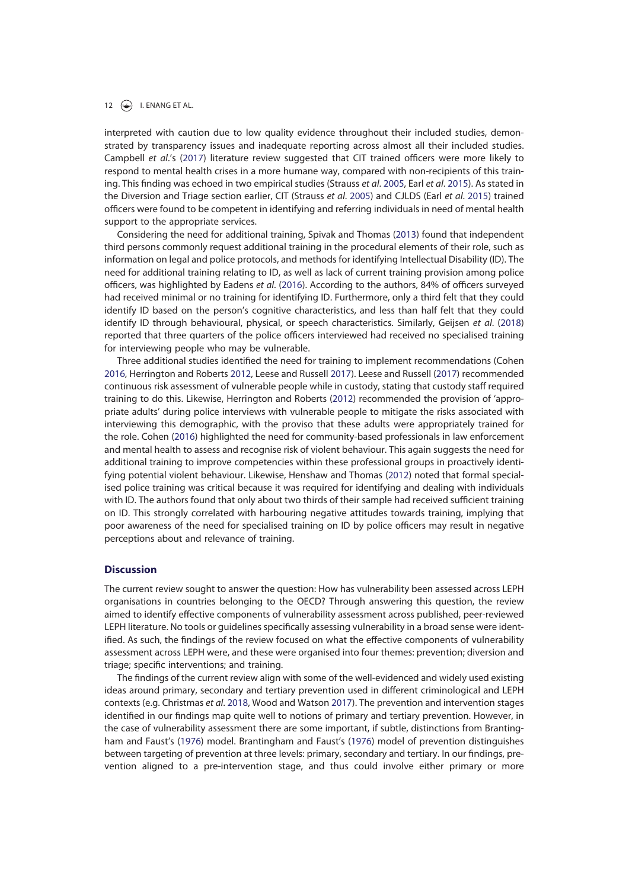interpreted with caution due to low quality evidence throughout their included studies, demonstrated by transparency issues and inadequate reporting across almost all their included studies. Campbell et al.'s (2017) literature review suggested that CIT trained officers were more likely to respond to mental health crises in a more humane way, compared with non-recipients of this training. This finding was echoed in two empirical studies (Strauss et al. 2005, Earl et al. 2015). As stated in the Diversion and Triage section earlier, CIT (Strauss et al. 2005) and CJLDS (Earl et al. 2015) trained officers were found to be competent in identifying and referring individuals in need of mental health support to the appropriate services.

Considering the need for additional training, Spivak and Thomas (2013) found that independent third persons commonly request additional training in the procedural elements of their role, such as information on legal and police protocols, and methods for identifying Intellectual Disability (ID). The need for additional training relating to ID, as well as lack of current training provision among police officers, was highlighted by Eadens et al. (2016). According to the authors, 84% of officers surveyed had received minimal or no training for identifying ID. Furthermore, only a third felt that they could identify ID based on the person's cognitive characteristics, and less than half felt that they could identify ID through behavioural, physical, or speech characteristics. Similarly, Geijsen et al. (2018) reported that three quarters of the police officers interviewed had received no specialised training for interviewing people who may be vulnerable.

Three additional studies identified the need for training to implement recommendations (Cohen 2016, Herrington and Roberts 2012, Leese and Russell 2017). Leese and Russell (2017) recommended continuous risk assessment of vulnerable people while in custody, stating that custody staff required training to do this. Likewise, Herrington and Roberts (2012) recommended the provision of 'appropriate adults' during police interviews with vulnerable people to mitigate the risks associated with interviewing this demographic, with the proviso that these adults were appropriately trained for the role. Cohen (2016) highlighted the need for community-based professionals in law enforcement and mental health to assess and recognise risk of violent behaviour. This again suggests the need for additional training to improve competencies within these professional groups in proactively identifying potential violent behaviour. Likewise, Henshaw and Thomas (2012) noted that formal specialised police training was critical because it was required for identifying and dealing with individuals with ID. The authors found that only about two thirds of their sample had received sufficient training on ID. This strongly correlated with harbouring negative attitudes towards training, implying that poor awareness of the need for specialised training on ID by police officers may result in negative perceptions about and relevance of training.

#### **Discussion**

The current review sought to answer the question: How has vulnerability been assessed across LEPH organisations in countries belonging to the OECD? Through answering this question, the review aimed to identify effective components of vulnerability assessment across published, peer-reviewed LEPH literature. No tools or guidelines specifically assessing vulnerability in a broad sense were identified. As such, the findings of the review focused on what the effective components of vulnerability assessment across LEPH were, and these were organised into four themes: prevention; diversion and triage; specific interventions; and training.

The findings of the current review align with some of the well-evidenced and widely used existing ideas around primary, secondary and tertiary prevention used in different criminological and LEPH contexts (e.g. Christmas et al. 2018, Wood and Watson 2017). The prevention and intervention stages identified in our findings map quite well to notions of primary and tertiary prevention. However, in the case of vulnerability assessment there are some important, if subtle, distinctions from Brantingham and Faust's (1976) model. Brantingham and Faust's (1976) model of prevention distinguishes between targeting of prevention at three levels: primary, secondary and tertiary. In our findings, prevention aligned to a pre-intervention stage, and thus could involve either primary or more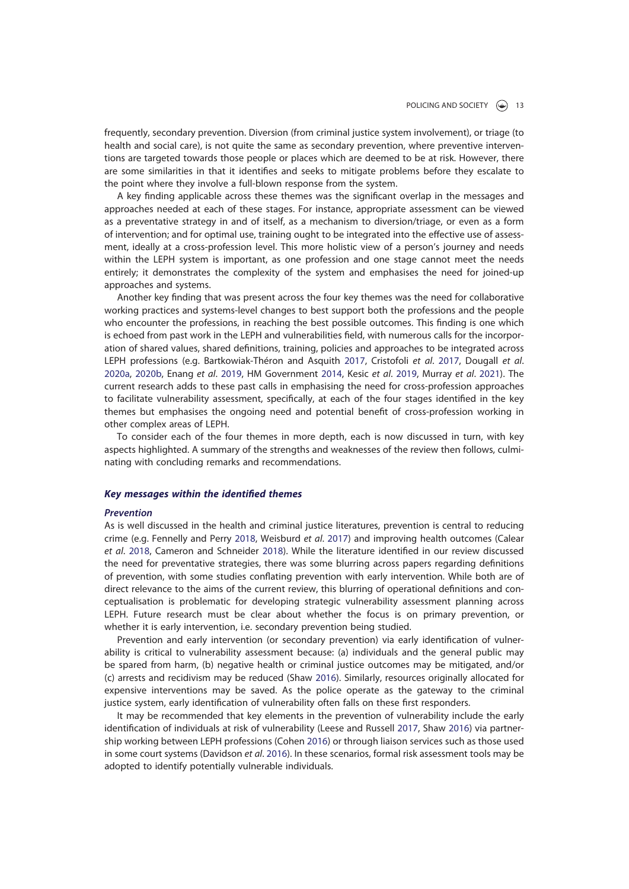frequently, secondary prevention. Diversion (from criminal justice system involvement), or triage (to health and social care), is not quite the same as secondary prevention, where preventive interventions are targeted towards those people or places which are deemed to be at risk. However, there are some similarities in that it identifies and seeks to mitigate problems before they escalate to the point where they involve a full-blown response from the system.

A key finding applicable across these themes was the significant overlap in the messages and approaches needed at each of these stages. For instance, appropriate assessment can be viewed as a preventative strategy in and of itself, as a mechanism to diversion/triage, or even as a form of intervention; and for optimal use, training ought to be integrated into the effective use of assessment, ideally at a cross-profession level. This more holistic view of a person's journey and needs within the LEPH system is important, as one profession and one stage cannot meet the needs entirely; it demonstrates the complexity of the system and emphasises the need for joined-up approaches and systems.

Another key finding that was present across the four key themes was the need for collaborative working practices and systems-level changes to best support both the professions and the people who encounter the professions, in reaching the best possible outcomes. This finding is one which is echoed from past work in the LEPH and vulnerabilities field, with numerous calls for the incorporation of shared values, shared definitions, training, policies and approaches to be integrated across LEPH professions (e.g. Bartkowiak-Théron and Asquith 2017, Cristofoli et al. 2017, Dougall et al. 2020a, 2020b, Enang et al. 2019, HM Government 2014, Kesic et al. 2019, Murray et al. 2021). The current research adds to these past calls in emphasising the need for cross-profession approaches to facilitate vulnerability assessment, specifically, at each of the four stages identified in the key themes but emphasises the ongoing need and potential benefit of cross-profession working in other complex areas of LEPH.

To consider each of the four themes in more depth, each is now discussed in turn, with key aspects highlighted. A summary of the strengths and weaknesses of the review then follows, culminating with concluding remarks and recommendations.

#### Key messages within the identified themes

#### Prevention

As is well discussed in the health and criminal justice literatures, prevention is central to reducing crime (e.g. Fennelly and Perry 2018, Weisburd et al. 2017) and improving health outcomes (Calear et al. 2018, Cameron and Schneider 2018). While the literature identified in our review discussed the need for preventative strategies, there was some blurring across papers regarding definitions of prevention, with some studies conflating prevention with early intervention. While both are of direct relevance to the aims of the current review, this blurring of operational definitions and conceptualisation is problematic for developing strategic vulnerability assessment planning across LEPH. Future research must be clear about whether the focus is on primary prevention, or whether it is early intervention, i.e. secondary prevention being studied.

Prevention and early intervention (or secondary prevention) via early identification of vulnerability is critical to vulnerability assessment because: (a) individuals and the general public may be spared from harm, (b) negative health or criminal justice outcomes may be mitigated, and/or (c) arrests and recidivism may be reduced (Shaw 2016). Similarly, resources originally allocated for expensive interventions may be saved. As the police operate as the gateway to the criminal justice system, early identification of vulnerability often falls on these first responders.

It may be recommended that key elements in the prevention of vulnerability include the early identification of individuals at risk of vulnerability (Leese and Russell 2017, Shaw 2016) via partnership working between LEPH professions (Cohen 2016) or through liaison services such as those used in some court systems (Davidson et al. 2016). In these scenarios, formal risk assessment tools may be adopted to identify potentially vulnerable individuals.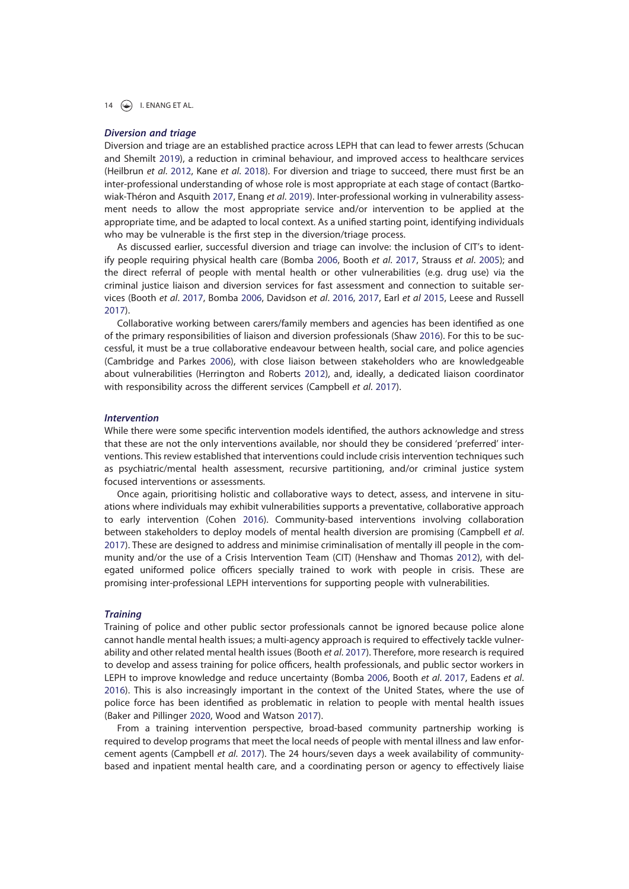## Diversion and triage

Diversion and triage are an established practice across LEPH that can lead to fewer arrests (Schucan and Shemilt 2019), a reduction in criminal behaviour, and improved access to healthcare services (Heilbrun et al. 2012, Kane et al. 2018). For diversion and triage to succeed, there must first be an inter-professional understanding of whose role is most appropriate at each stage of contact (Bartkowiak-Théron and Asquith 2017, Enang et al. 2019). Inter-professional working in vulnerability assessment needs to allow the most appropriate service and/or intervention to be applied at the appropriate time, and be adapted to local context. As a unified starting point, identifying individuals who may be vulnerable is the first step in the diversion/triage process.

As discussed earlier, successful diversion and triage can involve: the inclusion of CIT's to identify people requiring physical health care (Bomba 2006, Booth et al. 2017, Strauss et al. 2005); and the direct referral of people with mental health or other vulnerabilities (e.g. drug use) via the criminal justice liaison and diversion services for fast assessment and connection to suitable services (Booth et al. 2017, Bomba 2006, Davidson et al. 2016, 2017, Earl et al 2015, Leese and Russell 2017).

Collaborative working between carers/family members and agencies has been identified as one of the primary responsibilities of liaison and diversion professionals (Shaw 2016). For this to be successful, it must be a true collaborative endeavour between health, social care, and police agencies (Cambridge and Parkes 2006), with close liaison between stakeholders who are knowledgeable about vulnerabilities (Herrington and Roberts 2012), and, ideally, a dedicated liaison coordinator with responsibility across the different services (Campbell et al. 2017).

#### Intervention

While there were some specific intervention models identified, the authors acknowledge and stress that these are not the only interventions available, nor should they be considered 'preferred' interventions. This review established that interventions could include crisis intervention techniques such as psychiatric/mental health assessment, recursive partitioning, and/or criminal justice system focused interventions or assessments.

Once again, prioritising holistic and collaborative ways to detect, assess, and intervene in situations where individuals may exhibit vulnerabilities supports a preventative, collaborative approach to early intervention (Cohen 2016). Community-based interventions involving collaboration between stakeholders to deploy models of mental health diversion are promising (Campbell et al. 2017). These are designed to address and minimise criminalisation of mentally ill people in the community and/or the use of a Crisis Intervention Team (CIT) (Henshaw and Thomas 2012), with delegated uniformed police officers specially trained to work with people in crisis. These are promising inter-professional LEPH interventions for supporting people with vulnerabilities.

#### **Training**

Training of police and other public sector professionals cannot be ignored because police alone cannot handle mental health issues; a multi-agency approach is required to effectively tackle vulnerability and other related mental health issues (Booth et al. 2017). Therefore, more research is required to develop and assess training for police officers, health professionals, and public sector workers in LEPH to improve knowledge and reduce uncertainty (Bomba 2006, Booth et al. 2017, Eadens et al. 2016). This is also increasingly important in the context of the United States, where the use of police force has been identified as problematic in relation to people with mental health issues (Baker and Pillinger 2020, Wood and Watson 2017).

From a training intervention perspective, broad-based community partnership working is required to develop programs that meet the local needs of people with mental illness and law enforcement agents (Campbell et al. 2017). The 24 hours/seven days a week availability of communitybased and inpatient mental health care, and a coordinating person or agency to effectively liaise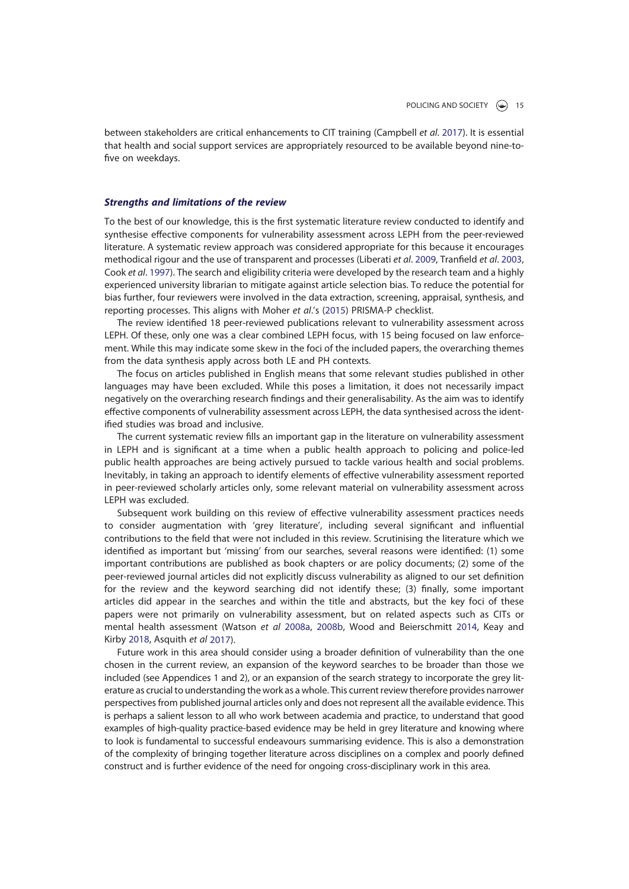between stakeholders are critical enhancements to CIT training (Campbell et al. 2017). It is essential that health and social support services are appropriately resourced to be available beyond nine-tofive on weekdays.

# Strengths and limitations of the review

To the best of our knowledge, this is the first systematic literature review conducted to identify and synthesise effective components for vulnerability assessment across LEPH from the peer-reviewed literature. A systematic review approach was considered appropriate for this because it encourages methodical rigour and the use of transparent and processes (Liberati et al. 2009, Tranfield et al. 2003, Cook et al. 1997). The search and eligibility criteria were developed by the research team and a highly experienced university librarian to mitigate against article selection bias. To reduce the potential for bias further, four reviewers were involved in the data extraction, screening, appraisal, synthesis, and reporting processes. This aligns with Moher et al.'s (2015) PRISMA-P checklist.

The review identified 18 peer-reviewed publications relevant to vulnerability assessment across LEPH. Of these, only one was a clear combined LEPH focus, with 15 being focused on law enforcement. While this may indicate some skew in the foci of the included papers, the overarching themes from the data synthesis apply across both LE and PH contexts.

The focus on articles published in English means that some relevant studies published in other languages may have been excluded. While this poses a limitation, it does not necessarily impact negatively on the overarching research findings and their generalisability. As the aim was to identify effective components of vulnerability assessment across LEPH, the data synthesised across the identified studies was broad and inclusive.

The current systematic review fills an important gap in the literature on vulnerability assessment in LEPH and is significant at a time when a public health approach to policing and police-led public health approaches are being actively pursued to tackle various health and social problems. Inevitably, in taking an approach to identify elements of effective vulnerability assessment reported in peer-reviewed scholarly articles only, some relevant material on vulnerability assessment across LEPH was excluded.

Subsequent work building on this review of effective vulnerability assessment practices needs to consider augmentation with 'grey literature', including several significant and influential contributions to the field that were not included in this review. Scrutinising the literature which we identified as important but 'missing' from our searches, several reasons were identified: (1) some important contributions are published as book chapters or are policy documents; (2) some of the peer-reviewed journal articles did not explicitly discuss vulnerability as aligned to our set definition for the review and the keyword searching did not identify these; (3) finally, some important articles did appear in the searches and within the title and abstracts, but the key foci of these papers were not primarily on vulnerability assessment, but on related aspects such as CITs or mental health assessment (Watson et al 2008a, 2008b, Wood and Beierschmitt 2014, Keay and Kirby 2018, Asquith et al 2017).

Future work in this area should consider using a broader definition of vulnerability than the one chosen in the current review, an expansion of the keyword searches to be broader than those we included (see Appendices 1 and 2), or an expansion of the search strategy to incorporate the grey literature as crucial to understanding the work as a whole. This current review therefore provides narrower perspectives from published journal articles only and does not represent all the available evidence. This is perhaps a salient lesson to all who work between academia and practice, to understand that good examples of high-quality practice-based evidence may be held in grey literature and knowing where to look is fundamental to successful endeavours summarising evidence. This is also a demonstration of the complexity of bringing together literature across disciplines on a complex and poorly defined construct and is further evidence of the need for ongoing cross-disciplinary work in this area.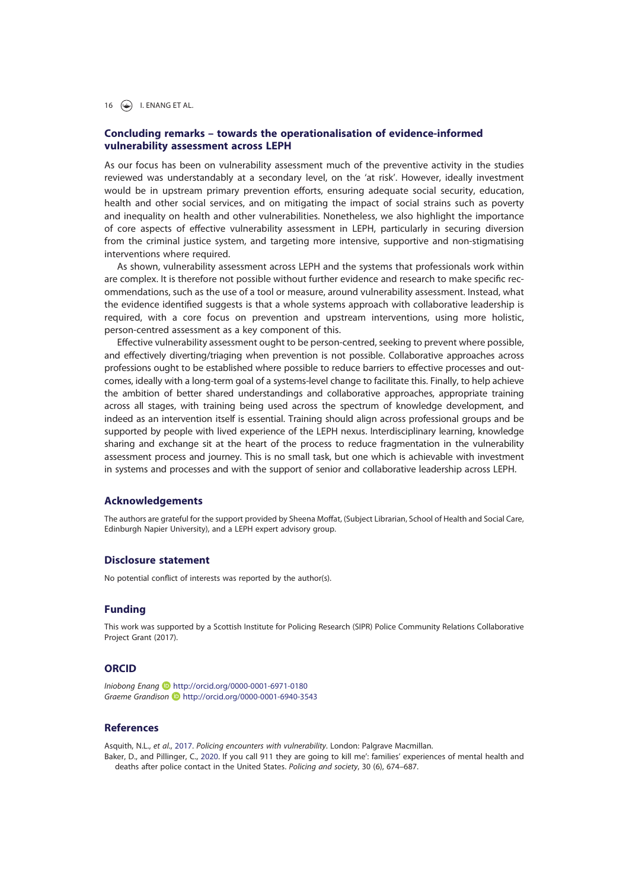16  $\left(\bigstar\right)$  I. ENANG ET AL.

# Concluding remarks – towards the operationalisation of evidence-informed vulnerability assessment across LEPH

As our focus has been on vulnerability assessment much of the preventive activity in the studies reviewed was understandably at a secondary level, on the 'at risk'. However, ideally investment would be in upstream primary prevention efforts, ensuring adequate social security, education, health and other social services, and on mitigating the impact of social strains such as poverty and inequality on health and other vulnerabilities. Nonetheless, we also highlight the importance of core aspects of effective vulnerability assessment in LEPH, particularly in securing diversion from the criminal justice system, and targeting more intensive, supportive and non-stigmatising interventions where required.

As shown, vulnerability assessment across LEPH and the systems that professionals work within are complex. It is therefore not possible without further evidence and research to make specific recommendations, such as the use of a tool or measure, around vulnerability assessment. Instead, what the evidence identified suggests is that a whole systems approach with collaborative leadership is required, with a core focus on prevention and upstream interventions, using more holistic, person-centred assessment as a key component of this.

Effective vulnerability assessment ought to be person-centred, seeking to prevent where possible, and effectively diverting/triaging when prevention is not possible. Collaborative approaches across professions ought to be established where possible to reduce barriers to effective processes and outcomes, ideally with a long-term goal of a systems-level change to facilitate this. Finally, to help achieve the ambition of better shared understandings and collaborative approaches, appropriate training across all stages, with training being used across the spectrum of knowledge development, and indeed as an intervention itself is essential. Training should align across professional groups and be supported by people with lived experience of the LEPH nexus. Interdisciplinary learning, knowledge sharing and exchange sit at the heart of the process to reduce fragmentation in the vulnerability assessment process and journey. This is no small task, but one which is achievable with investment in systems and processes and with the support of senior and collaborative leadership across LEPH.

# Acknowledgements

The authors are grateful for the support provided by Sheena Moffat, (Subject Librarian, School of Health and Social Care, Edinburgh Napier University), and a LEPH expert advisory group.

# Disclosure statement

No potential conflict of interests was reported by the author(s).

#### Funding

This work was supported by a Scottish Institute for Policing Research (SIPR) Police Community Relations Collaborative Project Grant (2017).

# ORCID

Iniobong Enang D http://orcid.org/0000-0001-6971-0180 Graeme Grandison **b** http://orcid.org/0000-0001-6940-3543

#### References

Asquith, N.L., et al., 2017. Policing encounters with vulnerability. London: Palgrave Macmillan. Baker, D., and Pillinger, C., 2020. If you call 911 they are going to kill me': families' experiences of mental health and deaths after police contact in the United States. Policing and society, 30 (6), 674–687.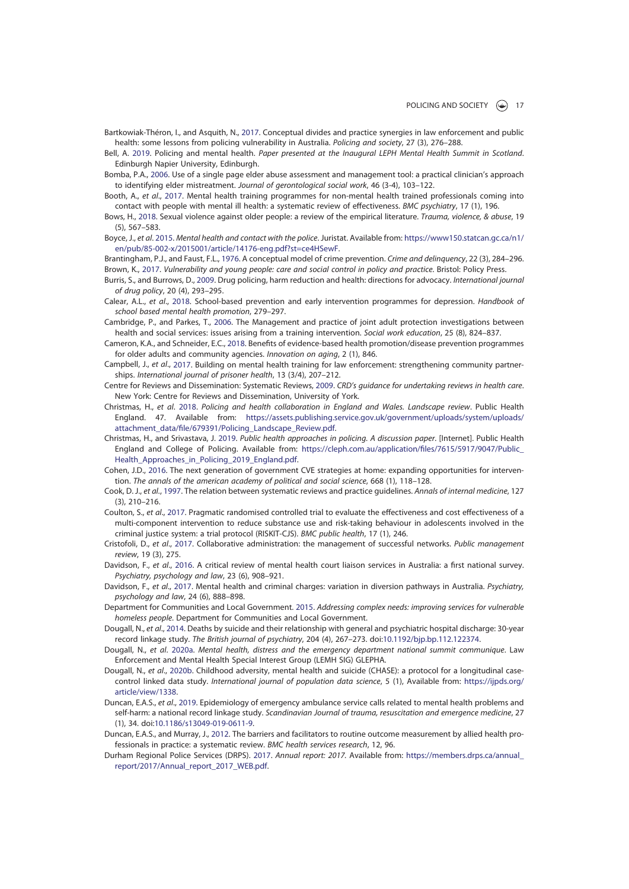Bartkowiak-Théron, I., and Asquith, N., 2017. Conceptual divides and practice synergies in law enforcement and public health: some lessons from policing vulnerability in Australia. Policing and society, 27 (3), 276–288.

Bell, A. 2019. Policing and mental health. Paper presented at the Inaugural LEPH Mental Health Summit in Scotland. Edinburgh Napier University, Edinburgh.

Bomba, P.A., 2006. Use of a single page elder abuse assessment and management tool: a practical clinician's approach to identifying elder mistreatment. Journal of gerontological social work, 46 (3-4), 103–122.

Booth, A., et al., 2017. Mental health training programmes for non-mental health trained professionals coming into contact with people with mental ill health: a systematic review of effectiveness. BMC psychiatry, 17 (1), 196.

Bows, H., 2018. Sexual violence against older people: a review of the empirical literature. Trauma, violence, & abuse, 19 (5), 567–583.

Boyce, J., et al. 2015. Mental health and contact with the police. Juristat. Available from: https://www150.statcan.gc.ca/n1/ en/pub/85-002-x/2015001/article/14176-eng.pdf?st=ce4HSewF.

Brantingham, P.J., and Faust, F.L., 1976. A conceptual model of crime prevention. Crime and delinquency, 22 (3), 284–296. Brown, K., 2017. Vulnerability and young people: care and social control in policy and practice. Bristol: Policy Press.

Burris, S., and Burrows, D., 2009. Drug policing, harm reduction and health: directions for advocacy. International journal of drug policy, 20 (4), 293–295.

Calear, A.L., et al., 2018. School-based prevention and early intervention programmes for depression. Handbook of school based mental health promotion, 279–297.

Cambridge, P., and Parkes, T., 2006. The Management and practice of joint adult protection investigations between health and social services: issues arising from a training intervention. Social work education, 25 (8), 824–837.

Cameron, K.A., and Schneider, E.C., 2018. Benefits of evidence-based health promotion/disease prevention programmes for older adults and community agencies. Innovation on aging, 2 (1), 846.

Campbell, J., et al., 2017. Building on mental health training for law enforcement: strengthening community partnerships. International journal of prisoner health, 13 (3/4), 207–212.

Centre for Reviews and Dissemination: Systematic Reviews, 2009. CRD's guidance for undertaking reviews in health care. New York: Centre for Reviews and Dissemination, University of York.

Christmas, H., et al. 2018. Policing and health collaboration in England and Wales. Landscape review. Public Health England. 47. Available from: https://assets.publishing.service.gov.uk/government/uploads/system/uploads/ attachment\_data/file/679391/Policing\_Landscape\_Review.pdf.

Christmas, H., and Srivastava, J. 2019. Public health approaches in policing. A discussion paper. [Internet]. Public Health England and College of Policing. Available from: https://cleph.com.au/application/files/7615/5917/9047/Public\_ Health Approaches in Policing 2019 England.pdf.

Cohen, J.D., 2016. The next generation of government CVE strategies at home: expanding opportunities for intervention. The annals of the american academy of political and social science, 668 (1), 118–128.

Cook, D. J., et al., 1997. The relation between systematic reviews and practice guidelines. Annals of internal medicine, 127 (3), 210–216.

Coulton, S., et al., 2017. Pragmatic randomised controlled trial to evaluate the effectiveness and cost effectiveness of a multi-component intervention to reduce substance use and risk-taking behaviour in adolescents involved in the criminal justice system: a trial protocol (RISKIT-CJS). BMC public health, 17 (1), 246.

Cristofoli, D., et al., 2017. Collaborative administration: the management of successful networks. Public management review, 19 (3), 275.

Davidson, F., et al., 2016. A critical review of mental health court liaison services in Australia: a first national survey. Psychiatry, psychology and law, 23 (6), 908–921.

Davidson, F., et al., 2017. Mental health and criminal charges: variation in diversion pathways in Australia. Psychiatry, psychology and law, 24 (6), 888–898.

Department for Communities and Local Government. 2015. Addressing complex needs: improving services for vulnerable homeless people. Department for Communities and Local Government.

Dougall, N., et al., 2014. Deaths by suicide and their relationship with general and psychiatric hospital discharge: 30-year record linkage study. The British journal of psychiatry, 204 (4), 267–273. doi:10.1192/bjp.bp.112.122374.

Dougall, N., et al. 2020a. Mental health, distress and the emergency department national summit communique. Law Enforcement and Mental Health Special Interest Group (LEMH SIG) GLEPHA.

Dougall, N., et al., 2020b. Childhood adversity, mental health and suicide (CHASE): a protocol for a longitudinal casecontrol linked data study. International journal of population data science, 5 (1), Available from: https://ijpds.org/ article/view/1338.

Duncan, E.A.S., et al., 2019. Epidemiology of emergency ambulance service calls related to mental health problems and self-harm: a national record linkage study. Scandinavian Journal of trauma, resuscitation and emergence medicine, 27 (1), 34. doi:10.1186/s13049-019-0611-9.

Duncan, E.A.S., and Murray, J., 2012. The barriers and facilitators to routine outcome measurement by allied health professionals in practice: a systematic review. BMC health services research, 12, 96.

Durham Regional Police Services (DRPS). 2017. Annual report: 2017. Available from: https://members.drps.ca/annual\_ report/2017/Annual\_report\_2017\_WEB.pdf.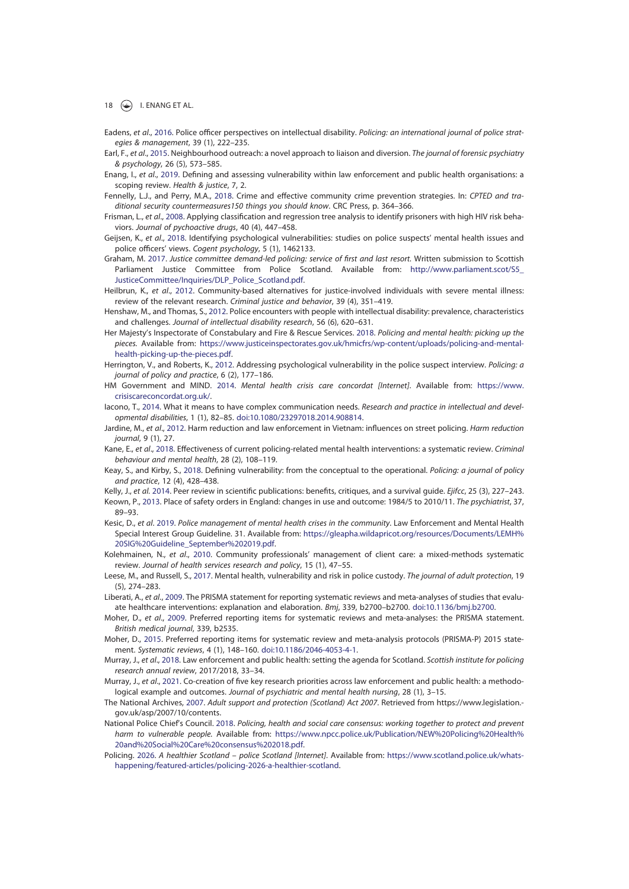- Eadens, et al., 2016. Police officer perspectives on intellectual disability. Policing: an international journal of police strategies & management, 39 (1), 222–235.
- Earl, F., et al., 2015. Neighbourhood outreach: a novel approach to liaison and diversion. The journal of forensic psychiatry & psychology, 26 (5), 573–585.
- Enang, I., et al., 2019. Defining and assessing vulnerability within law enforcement and public health organisations: a scoping review. Health & justice, 7, 2.
- Fennelly, L.J., and Perry, M.A., 2018. Crime and effective community crime prevention strategies. In: CPTED and traditional security countermeasures150 things you should know. CRC Press, p. 364–366.
- Frisman, L., et al., 2008. Applying classification and regression tree analysis to identify prisoners with high HIV risk behaviors. Journal of pychoactive drugs, 40 (4), 447–458.
- Geijsen, K., et al., 2018. Identifying psychological vulnerabilities: studies on police suspects' mental health issues and police officers' views. Cogent psychology, 5 (1), 1462133.
- Graham, M. 2017. Justice committee demand-led policing: service of first and last resort. Written submission to Scottish Parliament Justice Committee from Police Scotland. Available from: http://www.parliament.scot/S5\_ JusticeCommittee/Inquiries/DLP\_Police\_Scotland.pdf.
- Heilbrun, K., et al., 2012. Community-based alternatives for justice-involved individuals with severe mental illness: review of the relevant research. Criminal justice and behavior, 39 (4), 351–419.
- Henshaw, M., and Thomas, S., 2012. Police encounters with people with intellectual disability: prevalence, characteristics and challenges. Journal of intellectual disability research, 56 (6), 620–631.
- Her Majesty's Inspectorate of Constabulary and Fire & Rescue Services. 2018. Policing and mental health: picking up the pieces. Available from: https://www.justiceinspectorates.gov.uk/hmicfrs/wp-content/uploads/policing-and-mentalhealth-picking-up-the-pieces.pdf.
- Herrington, V., and Roberts, K., 2012. Addressing psychological vulnerability in the police suspect interview. Policing: a journal of policy and practice, 6 (2), 177–186.
- HM Government and MIND. 2014. Mental health crisis care concordat [Internet]. Available from: https://www. crisiscareconcordat.org.uk/.
- lacono, T., 2014. What it means to have complex communication needs. Research and practice in intellectual and developmental disabilities, 1 (1), 82–85. doi:10.1080/23297018.2014.908814.
- Jardine, M., et al., 2012. Harm reduction and law enforcement in Vietnam: influences on street policing. Harm reduction journal, 9 (1), 27.
- Kane, E., et al., 2018. Effectiveness of current policing-related mental health interventions: a systematic review. Criminal behaviour and mental health, 28 (2), 108–119.
- Keay, S., and Kirby, S., 2018. Defining vulnerability: from the conceptual to the operational. Policing: a journal of policy and practice, 12 (4), 428–438.
- Kelly, J., et al. 2014. Peer review in scientific publications: benefits, critiques, and a survival guide. Ejifcc, 25 (3), 227-243.
- Keown, P., 2013. Place of safety orders in England: changes in use and outcome: 1984/5 to 2010/11. The psychiatrist, 37, 89–93.
- Kesic, D., et al. 2019. Police management of mental health crises in the community. Law Enforcement and Mental Health Special Interest Group Guideline. 31. Available from: https://gleapha.wildapricot.org/resources/Documents/LEMH% 20SIG%20Guideline\_September%202019.pdf.
- Kolehmainen, N., et al., 2010. Community professionals' management of client care: a mixed-methods systematic review. Journal of health services research and policy, 15 (1), 47–55.
- Leese, M., and Russell, S., 2017. Mental health, vulnerability and risk in police custody. The journal of adult protection, 19 (5), 274–283.
- Liberati, A., et al., 2009. The PRISMA statement for reporting systematic reviews and meta-analyses of studies that evaluate healthcare interventions: explanation and elaboration. Bmj, 339, b2700–b2700. doi:10.1136/bmj.b2700.
- Moher, D., et al., 2009. Preferred reporting items for systematic reviews and meta-analyses: the PRISMA statement. British medical journal, 339, b2535.
- Moher, D., 2015. Preferred reporting items for systematic review and meta-analysis protocols (PRISMA-P) 2015 statement. Systematic reviews, 4 (1), 148–160. doi:10.1186/2046-4053-4-1.
- Murray, J., et al., 2018. Law enforcement and public health: setting the agenda for Scotland. Scottish institute for policing research annual review, 2017/2018, 33–34.
- Murray, J., et al., 2021. Co-creation of five key research priorities across law enforcement and public health: a methodological example and outcomes. Journal of psychiatric and mental health nursing, 28 (1), 3–15.
- The National Archives, 2007. Adult support and protection (Scotland) Act 2007. Retrieved from https://www.legislation.gov.uk/asp/2007/10/contents.
- National Police Chief's Council. 2018. Policing, health and social care consensus: working together to protect and prevent harm to vulnerable people. Available from: https://www.npcc.police.uk/Publication/NEW%20Policing%20Health% 20and%20Social%20Care%20consensus%202018.pdf.
- Policing. 2026. A healthier Scotland police Scotland [Internet]. Available from: https://www.scotland.police.uk/whatshappening/featured-articles/policing-2026-a-healthier-scotland.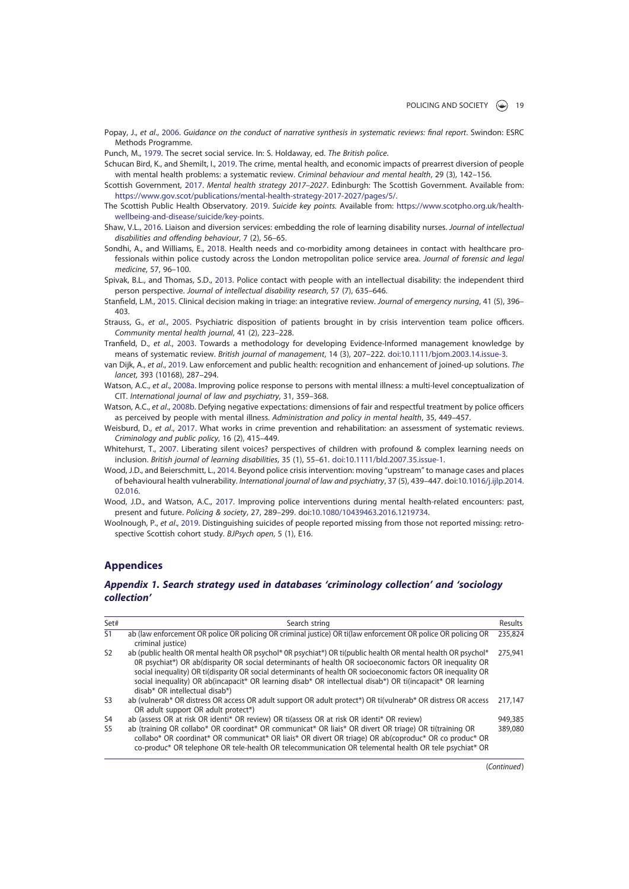Popay, J., et al., 2006. Guidance on the conduct of narrative synthesis in systematic reviews: final report. Swindon: ESRC Methods Programme.

Punch, M., 1979. The secret social service. In: S. Holdaway, ed. The British police.

Schucan Bird, K., and Shemilt, I., 2019. The crime, mental health, and economic impacts of prearrest diversion of people with mental health problems: a systematic review. Criminal behaviour and mental health, 29 (3), 142-156.

- Scottish Government, 2017. Mental health strategy 2017–2027. Edinburgh: The Scottish Government. Available from: https://www.gov.scot/publications/mental-health-strategy-2017-2027/pages/5/.
- The Scottish Public Health Observatory. 2019. Suicide key points. Available from: https://www.scotpho.org.uk/healthwellbeing-and-disease/suicide/key-points.
- Shaw, V.L., 2016. Liaison and diversion services: embedding the role of learning disability nurses. Journal of intellectual disabilities and offending behaviour, 7 (2), 56–65.
- Sondhi, A., and Williams, E., 2018. Health needs and co-morbidity among detainees in contact with healthcare professionals within police custody across the London metropolitan police service area. Journal of forensic and legal medicine, 57, 96–100.
- Spivak, B.L., and Thomas, S.D., 2013. Police contact with people with an intellectual disability: the independent third person perspective. Journal of intellectual disability research, 57 (7), 635–646.
- Stanfield, L.M., 2015. Clinical decision making in triage: an integrative review. Journal of emergency nursing, 41 (5), 396– 403.
- Strauss, G., et al., 2005. Psychiatric disposition of patients brought in by crisis intervention team police officers. Community mental health journal, 41 (2), 223–228.
- Tranfield, D., et al., 2003. Towards a methodology for developing Evidence-Informed management knowledge by means of systematic review. British journal of management, 14 (3), 207–222. doi:10.1111/bjom.2003.14.issue-3.
- van Dijk, A., et al., 2019. Law enforcement and public health: recognition and enhancement of joined-up solutions. The lancet, 393 (10168), 287–294.
- Watson, A.C., et al., 2008a. Improving police response to persons with mental illness: a multi-level conceptualization of CIT. International journal of law and psychiatry, 31, 359–368.
- Watson, A.C., et al., 2008b. Defying negative expectations: dimensions of fair and respectful treatment by police officers as perceived by people with mental illness. Administration and policy in mental health, 35, 449–457.
- Weisburd, D., et al., 2017. What works in crime prevention and rehabilitation: an assessment of systematic reviews. Criminology and public policy, 16 (2), 415–449.
- Whitehurst, T., 2007. Liberating silent voices? perspectives of children with profound & complex learning needs on inclusion. British journal of learning disabilities, 35 (1), 55–61. doi:10.1111/bld.2007.35.issue-1.
- Wood, J.D., and Beierschmitt, L., 2014. Beyond police crisis intervention: moving "upstream" to manage cases and places of behavioural health vulnerability. International journal of law and psychiatry, 37 (5), 439–447. doi:10.1016/j.ijlp.2014. 02.016.
- Wood, J.D., and Watson, A.C., 2017. Improving police interventions during mental health-related encounters: past, present and future. Policing & society, 27, 289–299. doi:10.1080/10439463.2016.1219734.
- Woolnough, P., et al., 2019. Distinguishing suicides of people reported missing from those not reported missing: retrospective Scottish cohort study. BJPsych open, 5 (1), E16.

# **Appendices**

# Appendix 1. Search strategy used in databases 'criminology collection' and 'sociology collection'

| Set#           | Search string                                                                                                                                                                                                                                                                                                                                                                                                                                                                               | Results |
|----------------|---------------------------------------------------------------------------------------------------------------------------------------------------------------------------------------------------------------------------------------------------------------------------------------------------------------------------------------------------------------------------------------------------------------------------------------------------------------------------------------------|---------|
| S <sub>1</sub> | ab (law enforcement OR police OR policing OR criminal justice) OR ti(law enforcement OR police OR policing OR<br>criminal justice)                                                                                                                                                                                                                                                                                                                                                          | 235,824 |
| S <sub>2</sub> | ab (public health OR mental health OR psychol* 0R psychiat*) OR ti(public health OR mental health OR psychol*<br>OR psychiat*) OR ab(disparity OR social determinants of health OR socioeconomic factors OR inequality OR<br>social inequality) OR ti(disparity OR social determinants of health OR socioeconomic factors OR inequality OR<br>social inequality) OR ab(incapacit* OR learning disab* OR intellectual disab*) OR ti(incapacit* OR learning<br>disab* OR intellectual disab*) | 275,941 |
| S <sub>3</sub> | ab (vulnerab* OR distress OR access OR adult support OR adult protect*) OR ti(vulnerab* OR distress OR access<br>OR adult support OR adult protect*)                                                                                                                                                                                                                                                                                                                                        | 217.147 |
| S <sub>4</sub> | ab (assess OR at risk OR identi* OR review) OR ti(assess OR at risk OR identi* OR review)                                                                                                                                                                                                                                                                                                                                                                                                   | 949,385 |
| S <sub>5</sub> | ab (training OR collabo* OR coordinat* OR communicat* OR liais* OR divert OR triage) OR ti(training OR<br>collabo* OR coordinat* OR communicat* OR liais* OR divert OR triage) OR ab(coproduc* OR co produc* OR<br>co-produc* OR telephone OR tele-health OR telecommunication OR telemental health OR tele psychiat* OR                                                                                                                                                                    | 389,080 |

(Continued)